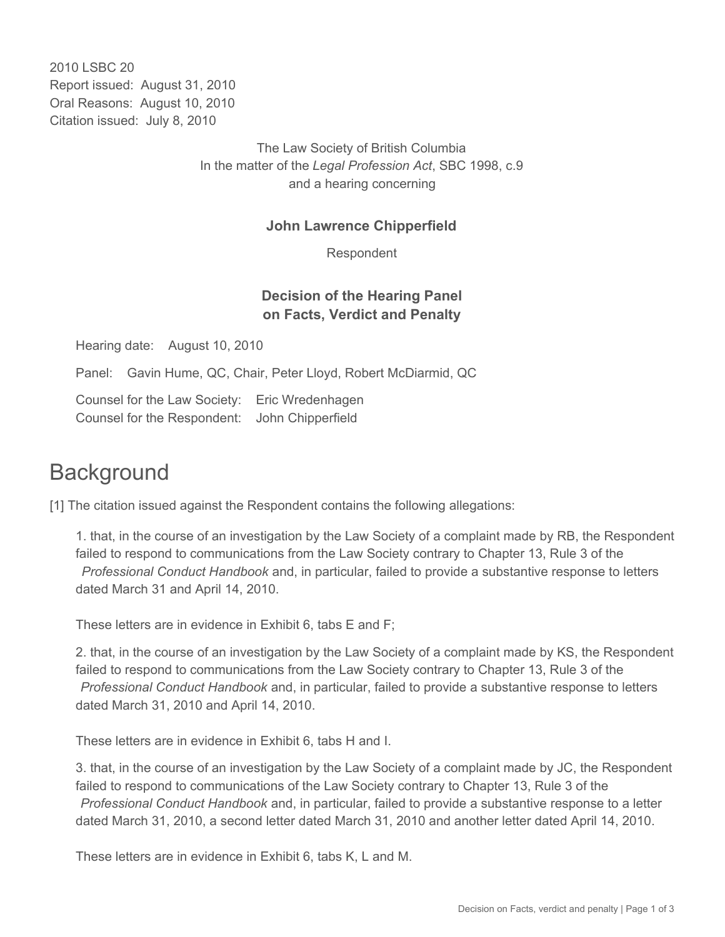2010 LSBC 20 Report issued: August 31, 2010 Oral Reasons: August 10, 2010 Citation issued: July 8, 2010

> The Law Society of British Columbia In the matter of the *Legal Profession Act*, SBC 1998, c.9 and a hearing concerning

#### **John Lawrence Chipperfield**

Respondent

### **Decision of the Hearing Panel on Facts, Verdict and Penalty**

Hearing date: August 10, 2010

Panel: Gavin Hume, QC, Chair, Peter Lloyd, Robert McDiarmid, QC

Counsel for the Law Society: Eric Wredenhagen Counsel for the Respondent: John Chipperfield

# **Background**

[1] The citation issued against the Respondent contains the following allegations:

1. that, in the course of an investigation by the Law Society of a complaint made by RB, the Respondent failed to respond to communications from the Law Society contrary to Chapter 13, Rule 3 of the *Professional Conduct Handbook* and, in particular, failed to provide a substantive response to letters dated March 31 and April 14, 2010.

These letters are in evidence in Exhibit 6, tabs E and F;

2. that, in the course of an investigation by the Law Society of a complaint made by KS, the Respondent failed to respond to communications from the Law Society contrary to Chapter 13, Rule 3 of the *Professional Conduct Handbook* and, in particular, failed to provide a substantive response to letters dated March 31, 2010 and April 14, 2010.

These letters are in evidence in Exhibit 6, tabs H and I.

3. that, in the course of an investigation by the Law Society of a complaint made by JC, the Respondent failed to respond to communications of the Law Society contrary to Chapter 13, Rule 3 of the *Professional Conduct Handbook* and, in particular, failed to provide a substantive response to a letter dated March 31, 2010, a second letter dated March 31, 2010 and another letter dated April 14, 2010.

These letters are in evidence in Exhibit 6, tabs K, L and M.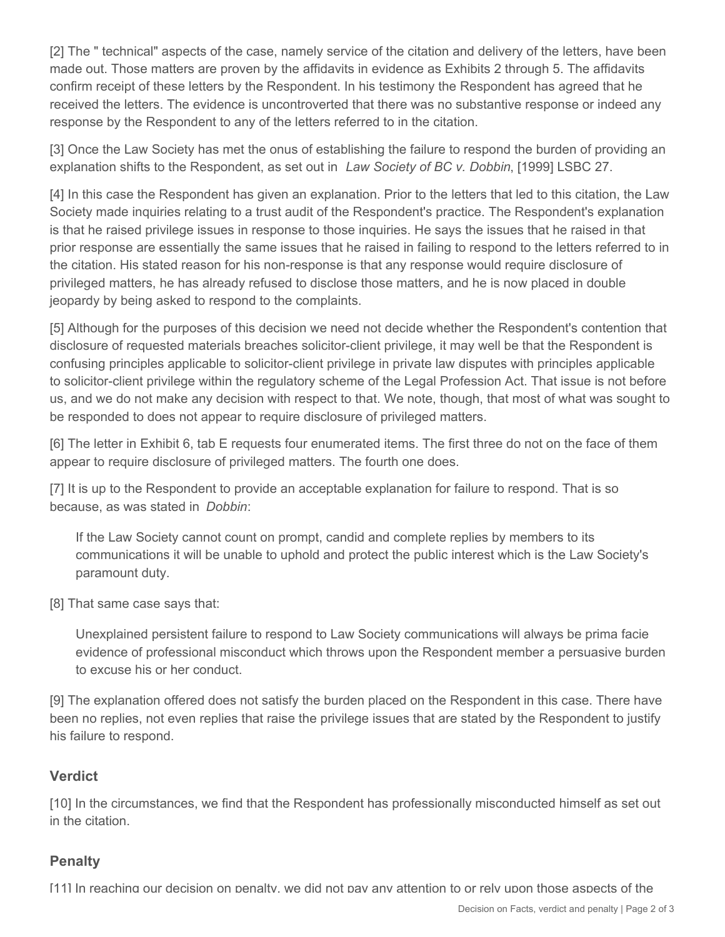[2] The " technical" aspects of the case, namely service of the citation and delivery of the letters, have been made out. Those matters are proven by the affidavits in evidence as Exhibits 2 through 5. The affidavits confirm receipt of these letters by the Respondent. In his testimony the Respondent has agreed that he received the letters. The evidence is uncontroverted that there was no substantive response or indeed any response by the Respondent to any of the letters referred to in the citation.

[3] Once the Law Society has met the onus of establishing the failure to respond the burden of providing an explanation shifts to the Respondent, as set out in *Law Society of BC v. Dobbin*, [1999] LSBC 27.

[4] In this case the Respondent has given an explanation. Prior to the letters that led to this citation, the Law Society made inquiries relating to a trust audit of the Respondent's practice. The Respondent's explanation is that he raised privilege issues in response to those inquiries. He says the issues that he raised in that prior response are essentially the same issues that he raised in failing to respond to the letters referred to in the citation. His stated reason for his non-response is that any response would require disclosure of privileged matters, he has already refused to disclose those matters, and he is now placed in double jeopardy by being asked to respond to the complaints.

[5] Although for the purposes of this decision we need not decide whether the Respondent's contention that disclosure of requested materials breaches solicitor-client privilege, it may well be that the Respondent is confusing principles applicable to solicitor-client privilege in private law disputes with principles applicable to solicitor-client privilege within the regulatory scheme of the Legal Profession Act. That issue is not before us, and we do not make any decision with respect to that. We note, though, that most of what was sought to be responded to does not appear to require disclosure of privileged matters.

[6] The letter in Exhibit 6, tab E requests four enumerated items. The first three do not on the face of them appear to require disclosure of privileged matters. The fourth one does.

[7] It is up to the Respondent to provide an acceptable explanation for failure to respond. That is so because, as was stated in *Dobbin*:

If the Law Society cannot count on prompt, candid and complete replies by members to its communications it will be unable to uphold and protect the public interest which is the Law Society's paramount duty.

[8] That same case says that:

Unexplained persistent failure to respond to Law Society communications will always be prima facie evidence of professional misconduct which throws upon the Respondent member a persuasive burden to excuse his or her conduct.

[9] The explanation offered does not satisfy the burden placed on the Respondent in this case. There have been no replies, not even replies that raise the privilege issues that are stated by the Respondent to justify his failure to respond.

## **Verdict**

[10] In the circumstances, we find that the Respondent has professionally misconducted himself as set out in the citation.

## **Penalty**

[11] In reaching our decision on penalty, we did not pay any attention to or rely upon those aspects of the